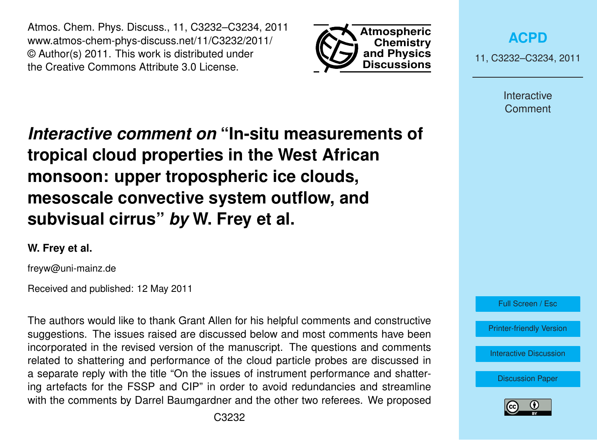Atmos. Chem. Phys. Discuss., 11, C3232–C3234, 2011 www.atmos-chem-phys-discuss.net/11/C3232/2011/ © Author(s) 2011. This work is distributed under the Creative Commons Attribute 3.0 License.



**[ACPD](http://www.atmos-chem-phys-discuss.net)**

11, C3232–C3234, 2011

Interactive **Comment** 

*Interactive comment on* **"In-situ measurements of tropical cloud properties in the West African monsoon: upper tropospheric ice clouds, mesoscale convective system outflow, and subvisual cirrus"** *by* **W. Frey et al.**

**W. Frey et al.**

freyw@uni-mainz.de

Received and published: 12 May 2011

The authors would like to thank Grant Allen for his helpful comments and constructive suggestions. The issues raised are discussed below and most comments have been incorporated in the revised version of the manuscript. The questions and comments related to shattering and performance of the cloud particle probes are discussed in a separate reply with the title "On the issues of instrument performance and shattering artefacts for the FSSP and CIP" in order to avoid redundancies and streamline with the comments by Darrel Baumgardner and the other two referees. We proposed



[Discussion Paper](http://www.atmos-chem-phys-discuss.net/11/745/2011/acpd-11-745-2011.pdf)

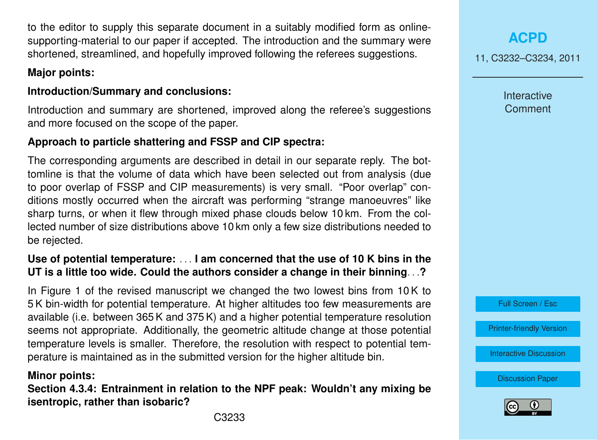to the editor to supply this separate document in a suitably modified form as onlinesupporting-material to our paper if accepted. The introduction and the summary were shortened, streamlined, and hopefully improved following the referees suggestions.

# **Major points:**

# **Introduction/Summary and conclusions:**

Introduction and summary are shortened, improved along the referee's suggestions and more focused on the scope of the paper.

# **Approach to particle shattering and FSSP and CIP spectra:**

The corresponding arguments are described in detail in our separate reply. The bottomline is that the volume of data which have been selected out from analysis (due to poor overlap of FSSP and CIP measurements) is very small. "Poor overlap" conditions mostly occurred when the aircraft was performing "strange manoeuvres" like sharp turns, or when it flew through mixed phase clouds below 10 km. From the collected number of size distributions above 10 km only a few size distributions needed to be rejected.

# **Use of potential temperature:** . . . **I am concerned that the use of 10 K bins in the UT is a little too wide. Could the authors consider a change in their binning**. . .**?**

In Figure 1 of the revised manuscript we changed the two lowest bins from 10 K to 5 K bin-width for potential temperature. At higher altitudes too few measurements are available (i.e. between 365 K and 375 K) and a higher potential temperature resolution seems not appropriate. Additionally, the geometric altitude change at those potential temperature levels is smaller. Therefore, the resolution with respect to potential temperature is maintained as in the submitted version for the higher altitude bin.

### **Minor points:**

**Section 4.3.4: Entrainment in relation to the NPF peak: Wouldn't any mixing be isentropic, rather than isobaric?**

C3233

**[ACPD](http://www.atmos-chem-phys-discuss.net)**

11, C3232–C3234, 2011

Interactive **Comment** 



[Printer-friendly Version](http://www.atmos-chem-phys-discuss.net/11/C3232/2011/acpd-11-C3232-2011-print.pdf)

[Interactive Discussion](http://www.atmos-chem-phys-discuss.net/11/745/2011/acpd-11-745-2011-discussion.html)

[Discussion Paper](http://www.atmos-chem-phys-discuss.net/11/745/2011/acpd-11-745-2011.pdf)